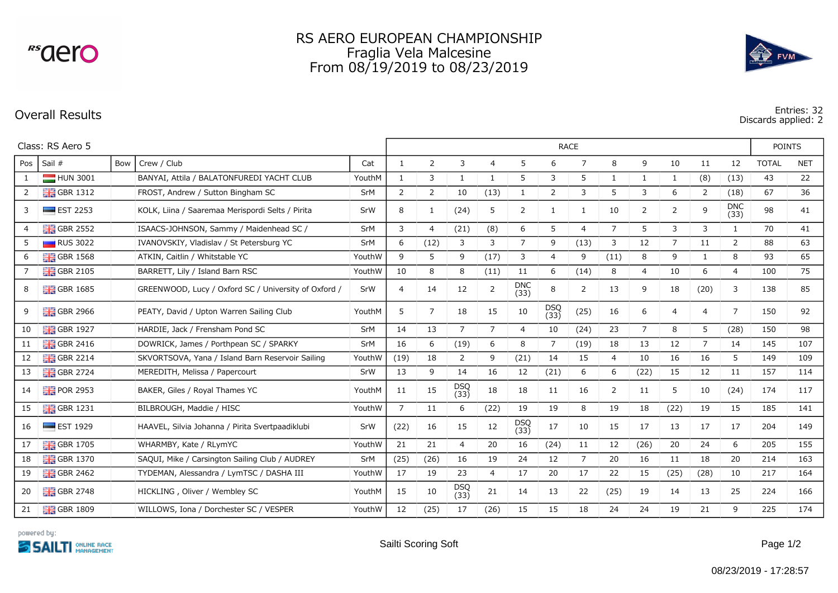<sup>rs</sup>aero

## RS AERO EUROPEAN CHAMPIONSHIP Fraglia Vela Malcesine From 08/19/2019 to 08/23/2019



**Overall Results Entries: 32 Discards applied: 2**

| Class: RS Aero 5 |                          |     |                                                      |        | <b>RACE</b>    |                |                    |                |                    |                |                |                |                |                |                | <b>POINTS</b>      |              |            |
|------------------|--------------------------|-----|------------------------------------------------------|--------|----------------|----------------|--------------------|----------------|--------------------|----------------|----------------|----------------|----------------|----------------|----------------|--------------------|--------------|------------|
| Pos              | Sail #                   | Bow | Crew / Club                                          | Cat    | $\mathbf{1}$   | 2              | 3                  | 4              | 5                  | 6              | 7              | 8              | 9              | 10             | 11             | 12                 | <b>TOTAL</b> | <b>NET</b> |
| 1                | HUN 3001                 |     | BANYAI, Attila / BALATONFUREDI YACHT CLUB            | YouthM | $\mathbf{1}$   | 3              | 1                  | 1              | 5                  | 3              | 5              | 1              | 1              | 1              | (8)            | (13)               | 43           | 22         |
| $\overline{2}$   | $\frac{1}{26}$ GBR 1312  |     | FROST, Andrew / Sutton Bingham SC                    | SrM    | $\overline{2}$ | 2              | 10                 | (13)           | 1                  | $\overline{2}$ | 3              | 5              | 3              | 6              | 2              | (18)               | 67           | 36         |
| 3                | $\equiv$ EST 2253        |     | KOLK, Liina / Saaremaa Merispordi Selts / Pirita     | SrW    | 8              | 1              | (24)               | 5              | 2                  |                | $\mathbf{1}$   | 10             | 2              | 2              | 9              | <b>DNC</b><br>(33) | 98           | 41         |
| $\overline{4}$   | $\frac{12}{10}$ GBR 2552 |     | ISAACS-JOHNSON, Sammy / Maidenhead SC /              | SrM    | 3              | 4              | (21)               | (8)            | 6                  | 5              | $\overline{4}$ | $\overline{7}$ | 5              | 3              | 3              | 1                  | 70           | 41         |
| 5                | RUS 3022                 |     | IVANOVSKIY, Vladislav / St Petersburg YC             | SrM    | 6              | (12)           | 3                  | 3              | $\overline{7}$     | 9              | (13)           | 3              | 12             | $\overline{7}$ | 11             | 2                  | 88           | 63         |
| 6                | $\frac{1}{26}$ GBR 1568  |     | ATKIN, Caitlin / Whitstable YC                       | YouthW | 9              | 5              | 9                  | (17)           | 3                  | $\overline{4}$ | 9              | (11)           | 8              | 9              | 1              | 8                  | 93           | 65         |
| 7                | $GBR$ 2105               |     | BARRETT, Lily / Island Barn RSC                      | YouthW | 10             | 8              | 8                  | (11)           | 11                 | 6              | (14)           | 8              | 4              | 10             | 6              | 4                  | 100          | 75         |
| 8                | $\frac{12}{16}$ GBR 1685 |     | GREENWOOD, Lucy / Oxford SC / University of Oxford / | SrW    | 4              | 14             | 12                 | $\overline{2}$ | <b>DNC</b><br>(33) | 8              | 2              | 13             | 9              | 18             | (20)           | 3                  | 138          | 85         |
| 9                | $\frac{1}{26}$ GBR 2966  |     | PEATY, David / Upton Warren Sailing Club             | YouthM | 5              | $\overline{7}$ | 18                 | 15             | 10                 | DSQ<br>(33)    | (25)           | 16             | 6              | $\overline{4}$ | $\overline{4}$ | 7                  | 150          | 92         |
| 10               | $\frac{1}{26}$ GBR 1927  |     | HARDIE, Jack / Frensham Pond SC                      | SrM    | 14             | 13             | $\overline{7}$     | $\overline{7}$ | $\overline{4}$     | 10             | (24)           | 23             | $\overline{7}$ | 8              | 5              | (28)               | 150          | 98         |
| 11               | $GBR$ 2416               |     | DOWRICK, James / Porthpean SC / SPARKY               | SrM    | 16             | 6              | (19)               | 6              | 8                  | 7              | (19)           | 18             | 13             | 12             | $\overline{7}$ | 14                 | 145          | 107        |
| 12               | $\frac{1}{200}$ GBR 2214 |     | SKVORTSOVA, Yana / Island Barn Reservoir Sailing     | YouthW | (19)           | 18             | 2                  | 9              | (21)               | 14             | 15             | $\overline{4}$ | 10             | 16             | 16             | 5                  | 149          | 109        |
| 13               | $\frac{12}{10}$ GBR 2724 |     | MEREDITH, Melissa / Papercourt                       | SrW    | 13             | 9              | 14                 | 16             | 12                 | (21)           | 6              | 6              | (22)           | 15             | 12             | 11                 | 157          | 114        |
| 14               | POR 2953                 |     | BAKER, Giles / Royal Thames YC                       | YouthM | 11             | 15             | <b>DSQ</b><br>(33) | 18             | 18                 | 11             | 16             | 2              | 11             | 5              | 10             | (24)               | 174          | 117        |
| 15               | $\frac{1}{26}$ GBR 1231  |     | BILBROUGH, Maddie / HISC                             | YouthW | 7              | 11             | 6                  | (22)           | 19                 | 19             | 8              | 19             | 18             | (22)           | 19             | 15                 | 185          | 141        |
| 16               | $\blacksquare$ EST 1929  |     | HAAVEL, Silvia Johanna / Pirita Svertpaadiklubi      | SrW    | (22)           | 16             | 15                 | 12             | DSQ<br>(33)        | 17             | 10             | 15             | 17             | 13             | 17             | 17                 | 204          | 149        |
| 17               | $\frac{1}{26}$ GBR 1705  |     | WHARMBY, Kate / RLymYC                               | YouthW | 21             | 21             | $\overline{4}$     | 20             | 16                 | (24)           | 11             | 12             | (26)           | 20             | 24             | 6                  | 205          | 155        |
| 18               | $\frac{1}{20}$ GBR 1370  |     | SAQUI, Mike / Carsington Sailing Club / AUDREY       | SrM    | (25)           | (26)           | 16                 | 19             | 24                 | 12             | $\overline{7}$ | 20             | 16             | 11             | 18             | 20                 | 214          | 163        |
| 19               | $\frac{1}{26}$ GBR 2462  |     | TYDEMAN, Alessandra / LymTSC / DASHA III             | YouthW | 17             | 19             | 23                 | $\overline{4}$ | 17                 | 20             | 17             | 22             | 15             | (25)           | (28)           | 10                 | 217          | 164        |
| 20               | $\frac{1}{26}$ GBR 2748  |     | HICKLING, Oliver / Wembley SC                        | YouthM | 15             | 10             | <b>DSQ</b><br>(33) | 21             | 14                 | 13             | 22             | (25)           | 19             | 14             | 13             | 25                 | 224          | 166        |
| 21               | $\frac{1}{26}$ GBR 1809  |     | WILLOWS, Iona / Dorchester SC / VESPER               | YouthW | 12             | (25)           | 17                 | (26)           | 15                 | 15             | 18             | 24             | 24             | 19             | 21             | 9                  | 225          | 174        |